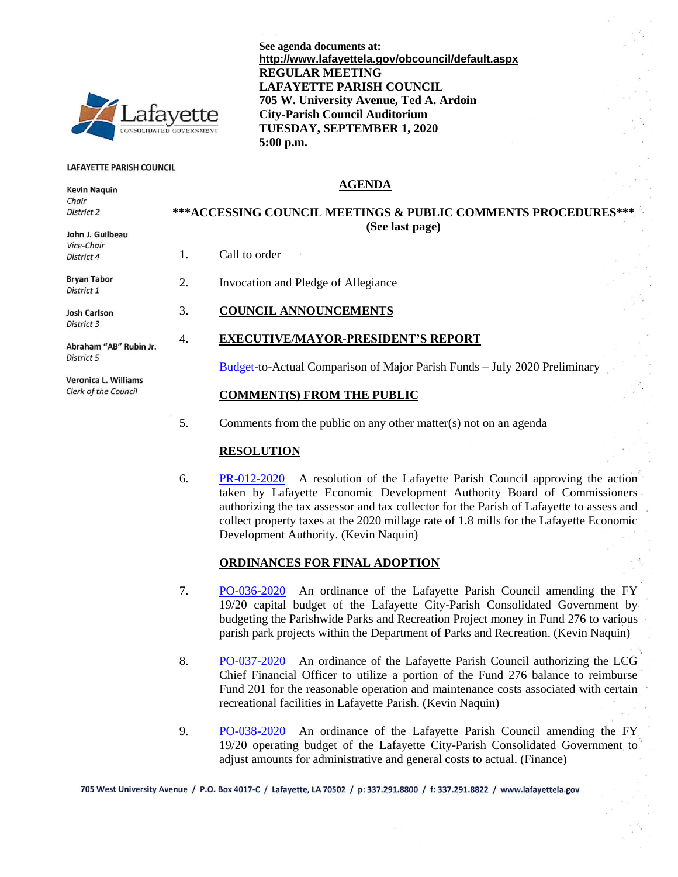

#### **LAFAYETTE PARISH COUNCIL**

### **AGENDA**

**LAFAYETTE PARISH COUNCIL 705 W. University Avenue, Ted A. Ardoin**

**City-Parish Council Auditorium TUESDAY, SEPTEMBER 1, 2020**

# **\*\*\*ACCESSING COUNCIL MEETINGS & PUBLIC COMMENTS PROCEDURES\*\*\* (See last page)**

**http://www.lafayettela.gov/obcouncil/default.aspx**

**PARISH** 

### 1. Call to order

2. Invocation and Pledge of Allegiance

**5:00 p.m.**

#### 3. **COUNCIL ANNOUNCEMENTS**

#### 4. **EXECUTIVE/MAYOR-PRESIDENT'S REPORT**

[Budget-](http://apps.lafayettela.gov/OBCouncil/ViewDocument.aspx?docID=1878656)to-Actual Comparison of Major Parish Funds – July 2020 Preliminary

#### **COMMENT(S) FROM THE PUBLIC**

**See agenda documents at:**

**REGULAR MEETING**

5. Comments from the public on any other matter(s) not on an agenda

### **RESOLUTION**

6. [PR-012-2020](http://apps.lafayettela.gov/OBCouncil/ViewDocument.aspx?docID=1878657) A resolution of the Lafayette Parish Council approving the action taken by Lafayette Economic Development Authority Board of Commissioners authorizing the tax assessor and tax collector for the Parish of Lafayette to assess and collect property taxes at the 2020 millage rate of 1.8 mills for the Lafayette Economic Development Authority. (Kevin Naquin)

### **ORDINANCES FOR FINAL ADOPTION**

- 7. [PO-036-2020](http://apps.lafayettela.gov/OBCouncil/ViewDocument.aspx?docID=1878658) An ordinance of the Lafayette Parish Council amending the FY 19/20 capital budget of the Lafayette City-Parish Consolidated Government by budgeting the Parishwide Parks and Recreation Project money in Fund 276 to various parish park projects within the Department of Parks and Recreation. (Kevin Naquin)
- 8. [PO-037-2020](http://apps.lafayettela.gov/OBCouncil/ViewDocument.aspx?docID=1878659) An ordinance of the Lafayette Parish Council authorizing the LCG Chief Financial Officer to utilize a portion of the Fund 276 balance to reimburse Fund 201 for the reasonable operation and maintenance costs associated with certain recreational facilities in Lafayette Parish. (Kevin Naquin)
- 9. [PO-038-2020](http://apps.lafayettela.gov/OBCouncil/ViewDocument.aspx?docID=1878660) An ordinance of the Lafayette Parish Council amending the FY. 19/20 operating budget of the Lafayette City-Parish Consolidated Government to adjust amounts for administrative and general costs to actual. (Finance)

705 West University Avenue / P.O. Box 4017-C / Lafayette, LA 70502 / p: 337.291.8800 / f: 337.291.8822 / www.lafayettela.gov

District 2 John J. Guilbeau

Vice-Chair

District 1

District 3

**District 5** 

**Kevin Naquin** Chair

District 4 **Brvan Tabor** 

**Josh Carlson** 

Abraham "AB" Rubin Jr.

Veronica L. Williams Clerk of the Council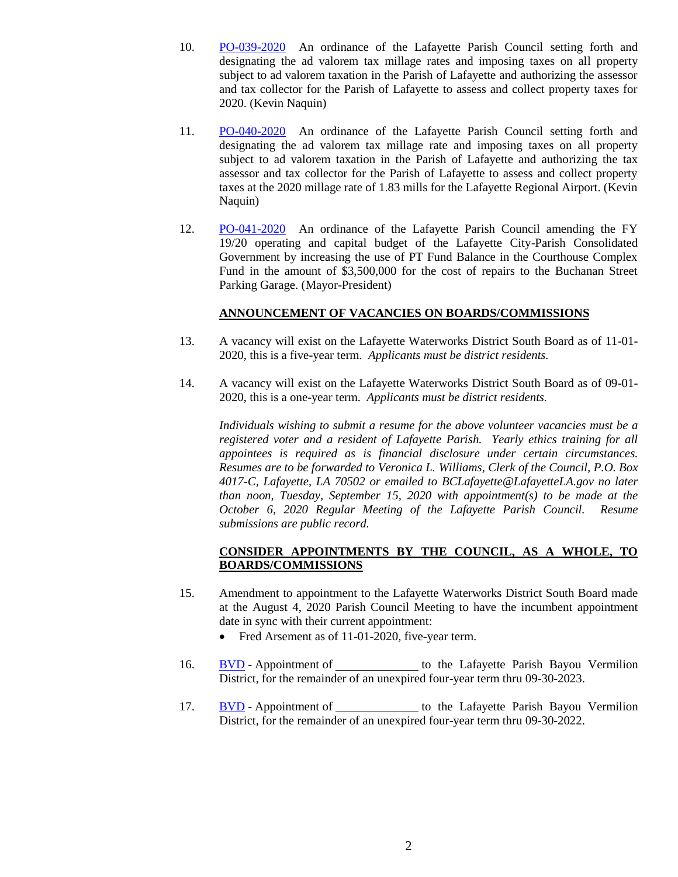- 10. [PO-039-2020](http://apps.lafayettela.gov/OBCouncil/ViewDocument.aspx?docID=1878661) An ordinance of the Lafayette Parish Council setting forth and designating the ad valorem tax millage rates and imposing taxes on all property subject to ad valorem taxation in the Parish of Lafayette and authorizing the assessor and tax collector for the Parish of Lafayette to assess and collect property taxes for 2020. (Kevin Naquin)
- 11. [PO-040-2020](http://apps.lafayettela.gov/OBCouncil/ViewDocument.aspx?docID=1878662) An ordinance of the Lafayette Parish Council setting forth and designating the ad valorem tax millage rate and imposing taxes on all property subject to ad valorem taxation in the Parish of Lafayette and authorizing the tax assessor and tax collector for the Parish of Lafayette to assess and collect property taxes at the 2020 millage rate of 1.83 mills for the Lafayette Regional Airport. (Kevin Naquin)
- 12. [PO-041-2020](http://apps.lafayettela.gov/OBCouncil/ViewDocument.aspx?docID=1878663) An ordinance of the Lafayette Parish Council amending the FY 19/20 operating and capital budget of the Lafayette City-Parish Consolidated Government by increasing the use of PT Fund Balance in the Courthouse Complex Fund in the amount of \$3,500,000 for the cost of repairs to the Buchanan Street Parking Garage. (Mayor-President)

## **ANNOUNCEMENT OF VACANCIES ON BOARDS/COMMISSIONS**

- 13. A vacancy will exist on the Lafayette Waterworks District South Board as of 11-01- 2020, this is a five-year term. *Applicants must be district residents.*
- 14. A vacancy will exist on the Lafayette Waterworks District South Board as of 09-01- 2020, this is a one-year term. *Applicants must be district residents.*

*Individuals wishing to submit a resume for the above volunteer vacancies must be a registered voter and a resident of Lafayette Parish. Yearly ethics training for all appointees is required as is financial disclosure under certain circumstances. Resumes are to be forwarded to Veronica L. Williams, Clerk of the Council, P.O. Box 4017-C, Lafayette, LA 70502 or emailed to BCLafayette@LafayetteLA.gov no later than noon, Tuesday, September 15, 2020 with appointment(s) to be made at the October 6, 2020 Regular Meeting of the Lafayette Parish Council. Resume submissions are public record.*

## **CONSIDER APPOINTMENTS BY THE COUNCIL, AS A WHOLE, TO BOARDS/COMMISSIONS**

- 15. Amendment to appointment to the Lafayette Waterworks District South Board made at the August 4, 2020 Parish Council Meeting to have the incumbent appointment date in sync with their current appointment:
	- Fred Arsement as of 11-01-2020, five-year term.
- 16. [BVD](http://apps.lafayettela.gov/OBCouncil/ViewDocument.aspx?docID=1878664) Appointment of to the Lafayette Parish Bayou Vermilion District, for the remainder of an unexpired four-year term thru 09-30-2023.
- 17. [BVD](http://apps.lafayettela.gov/OBCouncil/ViewDocument.aspx?docID=1878665) Appointment of to the Lafayette Parish Bayou Vermilion District, for the remainder of an unexpired four-year term thru 09-30-2022.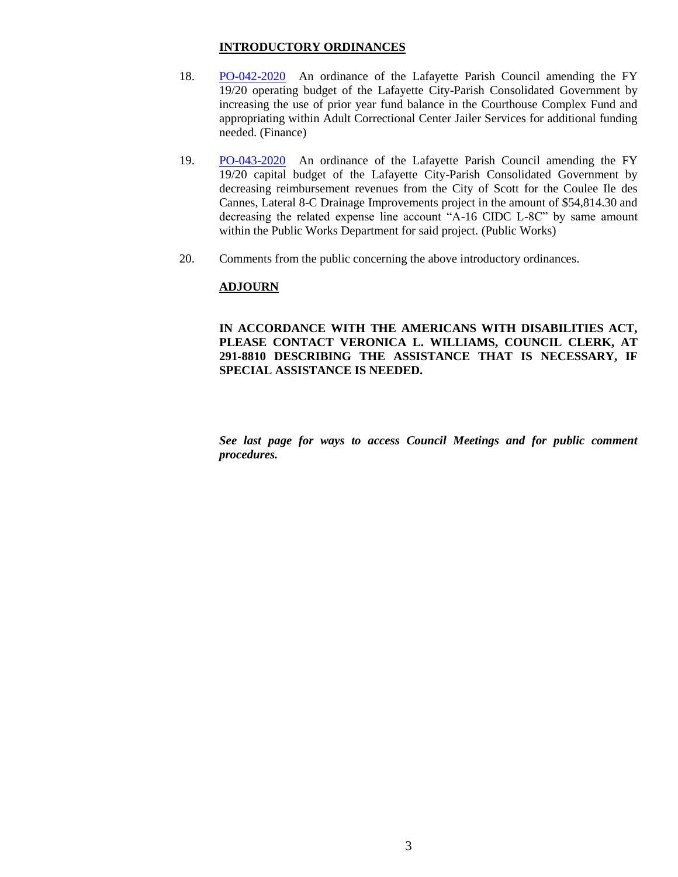## **INTRODUCTORY ORDINANCES**

- 18. [PO-042-2020](http://apps.lafayettela.gov/OBCouncil/ViewDocument.aspx?docID=1878666) An ordinance of the Lafayette Parish Council amending the FY 19/20 operating budget of the Lafayette City-Parish Consolidated Government by increasing the use of prior year fund balance in the Courthouse Complex Fund and appropriating within Adult Correctional Center Jailer Services for additional funding needed. (Finance)
- 19. [PO-043-2020](http://apps.lafayettela.gov/OBCouncil/ViewDocument.aspx?docID=1878667) An ordinance of the Lafayette Parish Council amending the FY 19/20 capital budget of the Lafayette City-Parish Consolidated Government by decreasing reimbursement revenues from the City of Scott for the Coulee Ile des Cannes, Lateral 8-C Drainage Improvements project in the amount of \$54,814.30 and decreasing the related expense line account "A-16 CIDC L-8C" by same amount within the Public Works Department for said project. (Public Works)
- 20. Comments from the public concerning the above introductory ordinances.

## **ADJOURN**

**IN ACCORDANCE WITH THE AMERICANS WITH DISABILITIES ACT, PLEASE CONTACT VERONICA L. WILLIAMS, COUNCIL CLERK, AT 291-8810 DESCRIBING THE ASSISTANCE THAT IS NECESSARY, IF SPECIAL ASSISTANCE IS NEEDED.**

*See last page for ways to access Council Meetings and for public comment procedures.*